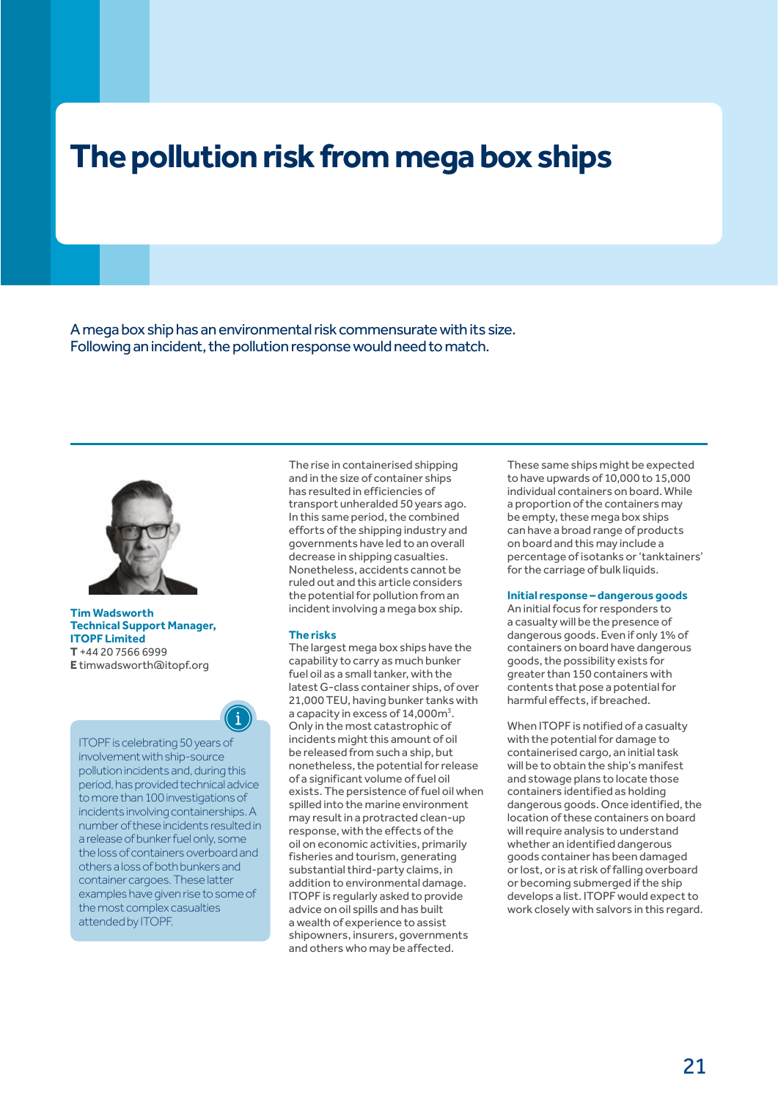# **The pollution risk from mega box ships**

A mega box ship has an environmental risk commensurate with its size. Following an incident, the pollution response would need to match.



### **Tim Wadsworth Technical Support Manager, ITOPF Limited T** +44 20 7566 6999 **E** [timwadsworth@itopf.org](mailto:timwadsworth@itopf.org)



ITOPF is celebrating 50 years of involvement with ship-source pollution incidents and, during this period, has provided technical advice to more than 100 investigations of incidents involving containerships. A number of these incidents resulted in a release of bunker fuel only, some the loss of containers overboard and others a loss of both bunkers and container cargoes. These latter examples have given rise to some of the most complex casualties attended by ITOPF.

The rise in containerised shipping and in the size of container ships has resulted in efficiencies of transport unheralded 50 years ago. In this same period, the combined efforts of the shipping industry and governments have led to an overall decrease in shipping casualties. Nonetheless, accidents cannot be ruled out and this article considers the potential for pollution from an incident involving a mega box ship.

## **The risks**

The largest mega box ships have the capability to carry as much bunker fuel oil as a small tanker, with the latest G-class container ships, of over 21,000 TEU, having bunker tanks with a capacity in excess of 14,000m<sup>3</sup>. Only in the most catastrophic of incidents might this amount of oil be released from such a ship, but nonetheless, the potential for release of a significant volume of fuel oil exists. The persistence of fuel oil when spilled into the marine environment may result in a protracted clean-up response, with the effects of the oil on economic activities, primarily fisheries and tourism, generating substantial third-party claims, in addition to environmental damage. ITOPF is regularly asked to provide advice on oil spills and has built a wealth of experience to assist shipowners, insurers, governments and others who may be affected.

These same ships might be expected to have upwards of 10,000 to 15,000 individual containers on board. While a proportion of the containers may be empty, these mega box ships can have a broad range of products on board and this may include a percentage of isotanks or 'tanktainers' for the carriage of bulk liquids.

### **Initial response – dangerous goods**

An initial focus for responders to a casualty will be the presence of dangerous goods. Even if only 1% of containers on board have dangerous goods, the possibility exists for greater than 150 containers with contents that pose a potential for harmful effects, if breached.

When ITOPF is notified of a casualty with the potential for damage to containerised cargo, an initial task will be to obtain the ship's manifest and stowage plans to locate those containers identified as holding dangerous goods. Once identified, the location of these containers on board will require analysis to understand whether an identified dangerous goods container has been damaged or lost, or is at risk of falling overboard or becoming submerged if the ship develops a list. ITOPF would expect to work closely with salvors in this regard.